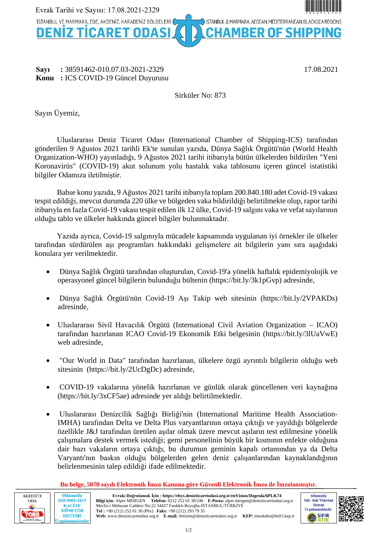

## **Sayı** : 38591462-010.07.03-2021-2329 17.08.2021 **Konu :** ICS COVID-19 Güncel Duyurusu

# Sirküler No: 873

Sayın Üyemiz,

Uluslararası Deniz Ticaret Odası (International Chamber of Shipping-ICS) tarafından gönderilen 9 Ağustos 2021 tarihli Ek'te sunulan yazıda, Dünya Sağlık Örgütü'nün (World Health Organization-WHO) yayınladığı, 9 Ağustos 2021 tarihi itibarıyla bütün ülkelerden bildirilen "Yeni Koronavirüs" (COVID-19) akut solunum yolu hastalık vaka tablosunu içeren güncel istatistiki bilgiler Odamıza iletilmiştir.

Bahse konu yazıda, 9 Ağustos 2021 tarihi itibarıyla toplam 200.840.180 adet Covid-19 vakası tespit edildiği, mevcut durumda 220 ülke ve bölgeden vaka bildirildiği belirtilmekte olup, rapor tarihi itibarıyla en fazla Covid-19 vakası tespit edilen ilk 12 ülke, Covid-19 salgını vaka ve vefat sayılarının olduğu tablo ve ülkeler hakkında güncel bilgiler bulunmaktadır.

Yazıda ayrıca, Covid-19 salgınıyla mücadele kapsamında uygulanan iyi örnekler ile ülkeler tarafından sürdürülen aşı programları hakkındaki gelişmelere ait bilgilerin yanı sıra aşağıdaki konulara yer verilmektedir.

- Dünya Sağlık Örgütü tarafından oluşturulan, Covid-19'a yönelik haftalık epidemiyolojik ve operasyonel güncel bilgilerin bulunduğu bültenin ([https://bit.ly/3k1pGvp\)](https://bit.ly/3k1pGvp) adresinde,
- Dünya Sağlık Örgütü'nün Covid-19 Aşı Takip web sitesinin (<https://bit.ly/2VPAKDs>) adresinde,
- Uluslararası Sivil Havacılık Örgütü (International Civil Aviation Organization ICAO) tarafından hazırlanan ICAO Covid-19 Ekonomik Etki belgesinin (<https://bit.ly/3lUaVwE>) web adresinde,
- "Our World in Data" tarafından hazırlanan, ülkelere özgü ayrıntılı bilgilerin olduğu web sitesinin [\(https://bit.ly/2UcDgDc](https://bit.ly/2UcDgDc)) adresinde,
- COVID-19 vakalarına yönelik hazırlanan ve günlük olarak güncellenen veri kaynağına (<https://bit.ly/3xCF5ae>) adresinde yer aldığı belirtilmektedir.
- Uluslararası Denizcilik Sağlığı Birliği'nin (International Maritime Health Association-IMHA) tarafından Delta ve Delta Plus varyantlarının ortaya çıktığı ve yayıldığı bölgelerde özellikle J&J tarafından üretilen aşılar olmak üzere mevcut aşıların test edilmesine yönelik çalışmalara destek vermek istediği; gemi personelinin büyük bir kısmının enfekte olduğuna dair bazı vakaların ortaya çıktığı, bu durumun geminin kapalı ortamından ya da Delta Varyantı'nın baskın olduğu bölgelerden gelen deniz çalışanlarından kaynaklandığının belirlenmesinin talep edildiği ifade edilmektedir.





Odamızda

**KALİTE** 

YÖNETİM

**SİSTEMİ** 

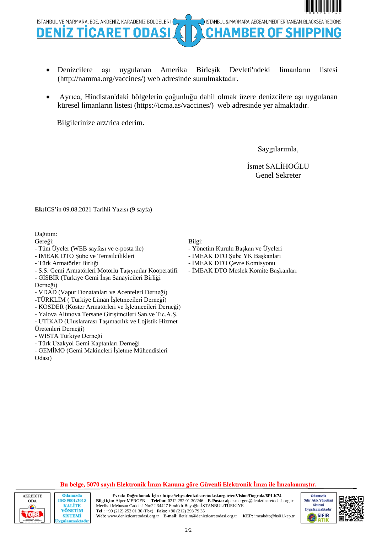

- Denizcilere aşı uygulanan Amerika Birleşik Devleti'ndeki limanların listesi ([http://namma.org/vaccines/\)](http://namma.org/vaccines/) web adresinde sunulmaktadır.
- Ayrıca, Hindistan'daki bölgelerin çoğunluğu dahil olmak üzere denizcilere aşı uygulanan küresel limanların listesi ([https://icma.as/vaccines/\)](https://icma.as/vaccines/) web adresinde yer almaktadır.

Bilgilerinize arz/rica ederim.

Saygılarımla,

İsmet SALİHOĞLU Genel Sekreter

**Ek:**ICS'in 09.08.2021 Tarihli Yazısı (9 sayfa)

Dağıtım:

Gereği:

- Tüm Üyeler (WEB sayfası ve e-posta ile)
- İMEAK DTO Şube ve Temsilcilikleri
- Türk Armatörler Birliği
- S.S. Gemi Armatörleri Motorlu Taşıyıcılar Kooperatifi - GİSBİR (Türkiye Gemi İnşa Sanayicileri Birliği Derneği)
- VDAD (Vapur Donatanları ve Acenteleri Derneği)
- -TÜRKLİM ( Türkiye Liman İşletmecileri Derneği)
- KOSDER (Koster Armatörleri ve İşletmecileri Derneği)
- Yalova Altınova Tersane Girişimcileri San.ve Tic.A.Ş.
- UTİKAD (Uluslararası Taşımacılık ve Lojistik Hizmet Üretenleri Derneği)
- WISTA Türkiye Derneği

Odamızda

**KALITE** 

**SİSTEMİ** 

- Türk Uzakyol Gemi Kaptanları Derneği

- GEMİMO (Gemi Makineleri İşletme Mühendisleri Odası)

Bilgi:

- Yönetim Kurulu Başkan ve Üyeleri
- İMEAK DTO Şube YK Başkanları
	- İMEAK DTO Çevre Komisyonu
	- İMEAK DTO Meslek Komite Başkanları

### **Bu belge, 5070 sayılı Elektronik İmza Kanuna göre Güvenli Elektronik İmza ile İmzalanmıştır.**





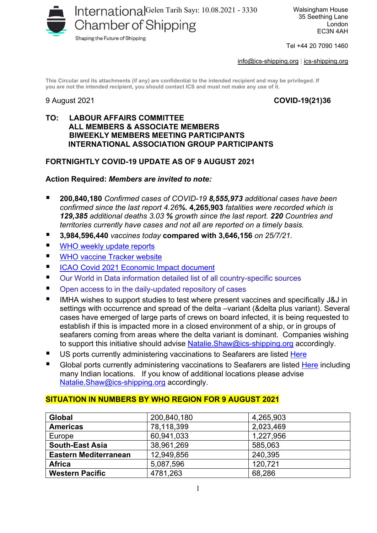

Walsingham House 35 Seething Lane London EC3N 4AH

Tel +44 20 7090 1460

[info@ics-shipping.org](mailto:info@ics-shipping.org) | [ics-shipping.org](http://www.ics-shipping.org/)

**This Circular and its attachments (if any) are confidential to the intended recipient and may be privileged. If you are not the intended recipient, you should contact ICS and must not make any use of it.**

## 9 August 2021 **COVID-19(21)36**

## **TO: LABOUR AFFAIRS COMMITTEE ALL MEMBERS & ASSOCIATE MEMBERS BIWEEKLY MEMBERS MEETING PARTICIPANTS INTERNATIONAL ASSOCIATION GROUP PARTICIPANTS**

# **FORTNIGHTLY COVID-19 UPDATE AS OF 9 AUGUST 2021**

## **Action Required:** *Members are invited to note:*

- **200,840,180** *Confirmed cases of COVID-19 8,555,973 additional cases have been confirmed since the last report 4.26%.* **4,265,903** *fatalities were recorded which is 129,385 additional deaths 3.03 % growth since the last report. 220 Countries and territories currently have cases and not all are reported on a timely basis.*
- **3,984,596,440** *vaccines today* **compared with 3,646,156** *on 25/7/21.*
- WHO weekly update reports
- **[WHO vaccine Tracker website](https://www.who.int/publications/m/item/draft-landscape-of-covid-19-candidate-vaccines)**
- [ICAO Covid 2021 Economic Impact document](https://www.icao.int/sustainability/Documents/COVID-19/ICAO_Coronavirus_Econ_Impact.pdf)
- [Our World in Data information d](https://ourworldindata.org/covid-vaccinations#source-information-country-by-country)etailed list of all country-specific sources
- **Open access to in the daily-updated repository of cases**
- IMHA wishes to support studies to test where present vaccines and specifically J&J in settings with occurrence and spread of the delta –variant (&delta plus variant). Several cases have emerged of large parts of crews on board infected, it is being requested to establish if this is impacted more in a closed environment of a ship, or in groups of seafarers coming from areas where the delta variant is dominant. Companies wishing to support this initiative should advise Natalie. Shaw@ics-shipping.org accordingly.
- US ports currently administering vaccinations to Seafarers are listed [Here](http://namma.org/about-us/member-resources/)
- Global ports currently administering vaccinations to Seafarers are listed [Here](https://icma.as/vaccines/) including many Indian locations. If you know of additional locations please advise [Natalie.Shaw@ics-shipping.org](mailto:Natalie.Shaw@ics-shipping.org) accordingly.

| <b>Global</b>                | 200,840,180 | 4,265,903 |
|------------------------------|-------------|-----------|
| <b>Americas</b>              | 78,118,399  | 2,023,469 |
| Europe                       | 60,941,033  | 1,227,956 |
| <b>South-East Asia</b>       | 38,961,269  | 585,063   |
| <b>Eastern Mediterranean</b> | 12,949,856  | 240,395   |
| <b>Africa</b>                | 5,087,596   | 120,721   |
| <b>Western Pacific</b>       | 4781,263    | 68,286    |

## **SITUATION IN NUMBERS BY WHO REGION FOR 9 AUGUST 2021**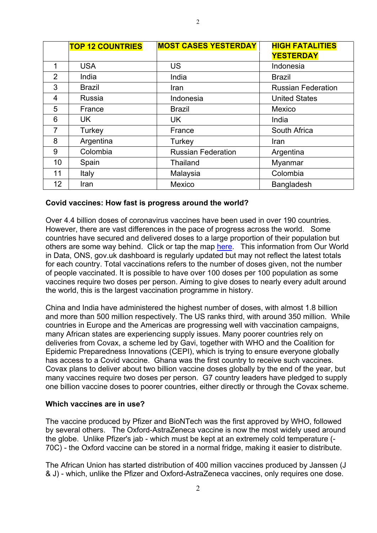|                 | <b>TOP 12 COUNTRIES</b> | <b>MOST CASES YESTERDAY</b> | <b>HIGH FATALITIES</b>    |
|-----------------|-------------------------|-----------------------------|---------------------------|
|                 |                         |                             | <b>YESTERDAY</b>          |
| 1               | <b>USA</b>              | <b>US</b>                   | Indonesia                 |
| 2               | India                   | India                       | <b>Brazil</b>             |
| 3               | <b>Brazil</b>           | Iran                        | <b>Russian Federation</b> |
| 4               | <b>Russia</b>           | Indonesia                   | <b>United States</b>      |
| 5               | France                  | <b>Brazil</b>               | Mexico                    |
| 6               | UK.                     | <b>UK</b>                   | India                     |
| $\overline{7}$  | Turkey                  | France                      | South Africa              |
| 8               | Argentina               | Turkey                      | Iran                      |
| 9               | Colombia                | <b>Russian Federation</b>   | Argentina                 |
| 10              | Spain                   | <b>Thailand</b>             | Myanmar                   |
| 11              | <b>Italy</b>            | Malaysia                    | Colombia                  |
| 12 <sup>°</sup> | Iran                    | Mexico                      | <b>Bangladesh</b>         |

## **Covid vaccines: How fast is progress around the world?**

Over 4.4 billion doses of coronavirus vaccines have been used in over 190 countries. However, there are vast differences in the pace of progress across the world. Some countries have secured and delivered doses to a large proportion of their population but others are some way behind. Click or tap the map [here.](https://www.bbc.co.uk/news/world-56237778) This information from Our World in Data, ONS, gov.uk dashboard is regularly updated but may not reflect the latest totals for each country. Total vaccinations refers to the number of doses given, not the number of people vaccinated. It is possible to have over 100 doses per 100 population as some vaccines require two doses per person. Aiming to give doses to nearly every adult around the world, this is the largest vaccination programme in history.

China and India have administered the highest number of doses, with almost 1.8 billion and more than 500 million respectively. The US ranks third, with around 350 million. While countries in Europe and the Americas are progressing well with vaccination campaigns, [many African states are experiencing supply issues.](https://www.bbc.co.uk/news/56100076) Many poorer countries rely on deliveries from Covax, a scheme led by Gavi, together with WHO and the Coalition for Epidemic Preparedness Innovations (CEPI), which is trying to ensure everyone globally has access to a Covid vaccine. Ghana was the [first country to receive such vaccines.](https://www.bbc.co.uk/news/world-africa-56180161) Covax plans to deliver about two billion vaccine doses globally by the end of the year, but many vaccines require two doses per person. G7 country leaders have [pledged](https://www.bbc.co.uk/news/uk-57461640) to supply one billion vaccine doses to poorer countries, either directly or through the Covax scheme.

## **Which vaccines are in use?**

The vaccine produced by Pfizer and BioNTech was the first approved by WHO, followed by several others. The Oxford-AstraZeneca vaccine is now the most widely used around the globe. Unlike Pfizer's jab - which must be kept at an extremely cold temperature (- 70C) - the Oxford vaccine can be stored in a normal fridge, making it easier to distribute.

The African Union has started distribution of 400 million vaccines produced by Janssen (J & J) - which, unlike the Pfizer and Oxford-AstraZeneca vaccines, only requires one dose.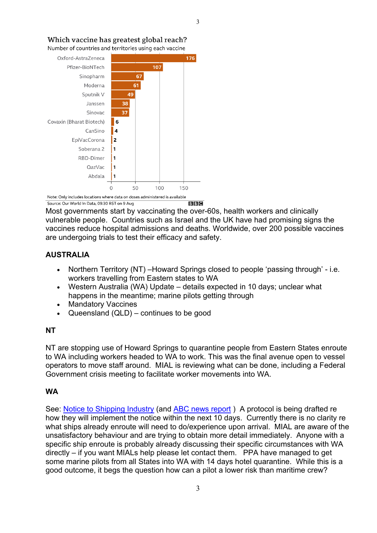

Which vaccine has greatest global reach?

Number of countries and territories using each vaccine

Note: Only includes locations where data on doses administered is available  $B|B|C$ Source: Our World In Data, 09:30 BST on 9 Aug

Most governments start by vaccinating the over-60s, health workers and clinically vulnerable people. Countries such as Israel and the UK have had promising signs the vaccines reduce hospital admissions and deaths. Worldwide, over 200 possible vaccines are undergoing trials to test their efficacy and safety.

# **AUSTRALIA**

- Northern Territory (NT) –Howard Springs closed to people 'passing through' i.e. workers travelling from Eastern states to WA
- Western Australia (WA) Update details expected in 10 days; unclear what happens in the meantime; marine pilots getting through
- Mandatory Vaccines
- Queensland (QLD) continues to be good

# **NT**

NT are stopping use of Howard Springs to quarantine people from Eastern States enroute to WA including workers headed to WA to work. This was the final avenue open to vessel operators to move staff around. MIAL is reviewing what can be done, including a Federal Government crisis meeting to facilitate worker movements into WA.

# **WA**

See: [Notice to Shipping Industry](https://www.wa.gov.au/sites/default/files/2021-07/300721-MRMSOI.pdf) (and ABC news report) A protocol is being drafted re how they will implement the notice within the next 10 days. Currently there is no clarity re what ships already enroute will need to do/experience upon arrival. MIAL are aware of the unsatisfactory behaviour and are trying to obtain more detail immediately. Anyone with a specific ship enroute is probably already discussing their specific circumstances with WA directly – if you want MIALs help please let contact them. PPA have managed to get some marine pilots from all States into WA with 14 days hotel quarantine. While this is a good outcome, it begs the question how can a pilot a lower risk than maritime crew?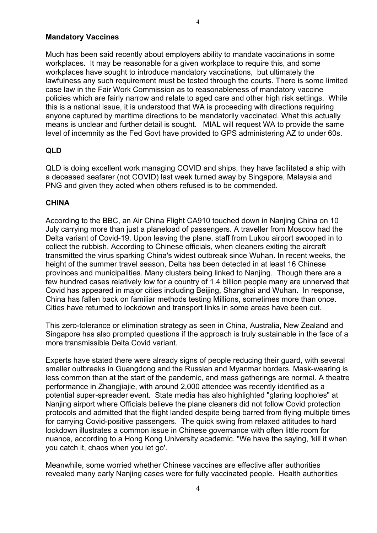## **Mandatory Vaccines**

Much has been said recently about employers ability to mandate vaccinations in some workplaces. It may be reasonable for a given workplace to require this, and some workplaces have sought to introduce mandatory vaccinations, but ultimately the lawfulness any such requirement must be tested through the courts. There is some limited case law in the Fair Work Commission as to reasonableness of mandatory vaccine policies which are fairly narrow and relate to aged care and other high risk settings. While this is a national issue, it is understood that WA is proceeding with directions requiring anyone captured by maritime directions to be mandatorily vaccinated. What this actually means is unclear and further detail is sought. MIAL will request WA to provide the same level of indemnity as the Fed Govt have provided to GPS administering AZ to under 60s.

# **QLD**

QLD is doing excellent work managing COVID and ships, they have facilitated a ship with a deceased seafarer (not COVID) last week turned away by Singapore, Malaysia and PNG and given they acted when others refused is to be commended.

## **CHINA**

According to the BBC, an Air China Flight CA910 touched down in Nanjing China on 10 July carrying more than just a planeload of passengers. A traveller from Moscow had the Delta variant of Covid-19. Upon leaving the plane, staff from Lukou airport swooped in to collect the rubbish. According to Chinese officials, when cleaners exiting the aircraft transmitted the virus sparking China's widest outbreak since Wuhan. In recent weeks, the height of the summer travel season, Delta has been detected in at least 16 Chinese provinces and municipalities. Many clusters being linked to Nanjing. Though there are a few hundred cases relatively low for a country of 1.4 billion people many are unnerved that Covid has appeared in major cities including Beijing, Shanghai and Wuhan. In response, China has fallen back on familiar methods testing Millions, sometimes more than once. Cities have returned to lockdown and transport links in some areas have been cut.

This zero-tolerance or elimination strategy as seen in China, Australia, New Zealand and Singapore has also prompted questions if the approach is truly sustainable in the face of a more transmissible Delta Covid variant.

Experts have stated there were already signs of people reducing their guard, with several smaller outbreaks in Guangdong and the Russian and Myanmar borders. Mask-wearing is less common than at the start of the pandemic, and mass gatherings are normal. A theatre performance in Zhangjiajie, with around 2,000 attendee was recently identified as a potential super-spreader event. State media has also highlighted "glaring loopholes" at Nanjing airport where Officials believe the plane cleaners did not follow Covid protection protocols and admitted that the flight landed despite being barred from flying multiple times for carrying Covid-positive passengers. The quick swing from relaxed attitudes to hard lockdown illustrates a common issue in Chinese governance with often little room for nuance, according to a Hong Kong University academic. "We have the saying, 'kill it when you catch it, chaos when you let go'.

Meanwhile, some worried whether Chinese vaccines are effective after authorities revealed many early Nanjing cases were for fully vaccinated people. Health authorities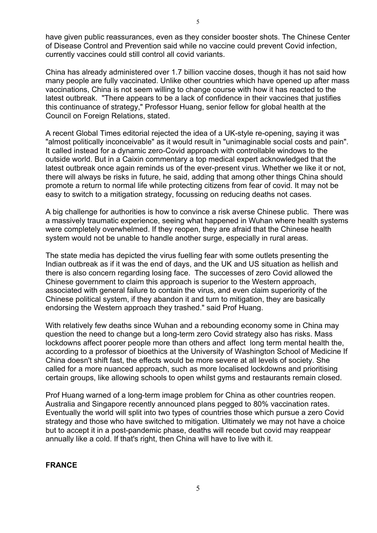have given public reassurances, even as they consider booster shots. The Chinese Center of Disease Control and Prevention said while no vaccine could prevent Covid infection, currently vaccines could still control all covid variants.

China has already administered over 1.7 billion vaccine doses, though it has not said how many people are fully vaccinated. Unlike other countries which have opened up after mass vaccinations, China is not seem willing to change course with how it has reacted to the latest outbreak. "There appears to be a lack of confidence in their vaccines that justifies this continuance of strategy," Professor Huang, senior fellow for global health at the Council on Foreign Relations, stated.

[A recent Global Times editorial](https://www.globaltimes.cn/page/202108/1230253.shtml) rejected the idea of a UK-style re-opening, saying it was "almost politically inconceivable" as it would result in "unimaginable social costs and pain". It called instead for a dynamic zero-Covid approach with controllable windows to the outside world. But in [a Caixin commentary](https://www.caixinglobal.com/2021-07-29/hang-wenhong-will-nanjings-outbreak-grow-out-of-control-101747641.html) a top medical expert acknowledged that the latest outbreak once again reminds us of the ever-present virus. Whether we like it or not, there will always be risks in future, he said, adding that among other things China should promote a return to normal life while protecting citizens from fear of covid. It may not be easy to switch to a mitigation strategy, focussing on reducing deaths not cases.

A big challenge for authorities is how to convince a risk averse Chinese public. There was a massively traumatic experience, seeing what happened in Wuhan where health systems were completely overwhelmed. If they reopen, they are afraid that the Chinese health system would not be unable to handle another surge, especially in rural areas.

The state media has depicted the virus fuelling fear with some outlets presenting the Indian outbreak as if it was the end of days, and the UK and US situation as hellish and there is also concern regarding losing face. The successes of zero Covid allowed the Chinese government to claim this approach is superior to the Western approach, associated with general failure to contain the virus, and even claim superiority of the Chinese political system, if they abandon it and turn to mitigation, they are basically endorsing the Western approach they trashed." said Prof Huang.

With relatively few deaths since Wuhan and a rebounding economy some in China may question the need to change but a long-term zero Covid strategy also has risks. Mass lockdowns affect poorer people more than others and affect long term mental health the, according to a professor of bioethics at the University of Washington School of Medicine If China doesn't shift fast, the effects would be more severe at all levels of society. She called for a more nuanced approach, such as more localised lockdowns and prioritising certain groups, like allowing schools to open whilst gyms and restaurants remain closed.

Prof Huang warned of a long-term image problem for China as other countries reopen. Australia and Singapore recently announced plans pegged to 80% vaccination rates. Eventually the world will split into two types of countries those which pursue a zero Covid strategy and those who have switched to mitigation. Ultimately we may not have a choice but to accept it in a post-pandemic phase, deaths will recede but covid may reappear annually like a cold. If that's right, then China will have to live with it.

# **FRANCE**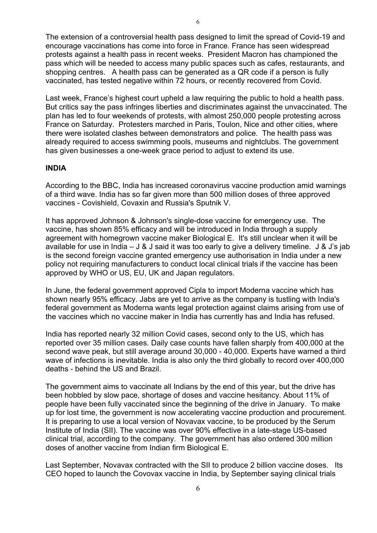The extension of a controversial health pass designed to limit the spread of Covid-19 and encourage vaccinations has come into force in France. France has seen widespread protests against a health pass in recent weeks. President Macron has championed the pass which will be needed to access many public spaces such as cafes, restaurants, and shopping centres. A health pass can be generated as a QR code if a person is fully vaccinated, has tested negative within 72 hours, or recently recovered from Covid.

Last week, France's highest court upheld a law requiring the public to hold a health pass. But critics say the pass infringes liberties and discriminates against the unvaccinated. The plan has led to four weekends of protests, with almost 250,000 people protesting across France on Saturday. Protesters marched in Paris, Toulon, Nice and other cities, where there were isolated clashes between demonstrators and police. The health pass was already required to access swimming pools, museums and nightclubs. The government has given businesses a one-week grace period to adjust to extend its use.

## **INDIA**

According to the BBC, India has increased coronavirus vaccine production amid warnings of a third wave. India has so far given more than 500 million doses of three approved vaccines - Covishield, Covaxin and Russia's Sputnik V.

It has approved Johnson & Johnson's single-dose vaccine for emergency use. The vaccine, has shown 85% efficacy and will be introduced in India through a supply agreement with homegrown vaccine maker Biological E. It's still unclear when it will be available for use in India – J & J said it was too early to give a delivery timeline. J & J's jab is the second foreign vaccine granted emergency use authorisation in India under a new policy not requiring manufacturers to conduct local clinical trials if the vaccine has been approved by WHO or US, EU, UK and Japan regulators.

In June, the federal government approved Cipla to import Moderna vaccine which has shown nearly 95% efficacy. Jabs are yet to arrive as the company is tustling with India's federal government as Moderna wants legal protection against claims arising from use of the vaccines which no vaccine maker in India has currently has and India has refused.

India has reported nearly 32 million Covid cases, second only to the US, which has reported over 35 million cases. Daily case counts have fallen sharply from 400,000 at the second wave peak, but still average around 30,000 - 40,000. Experts have warned a third wave of infections is inevitable. India is also only the third globally to record over 400,000 deaths - behind the US and Brazil.

The government aims to vaccinate all Indians by the end of this year, but the drive has been hobbled by slow pace, shortage of doses and vaccine hesitancy. About 11% of people have been fully vaccinated since the beginning of the drive in January. To make up for lost time, the government is now accelerating vaccine production and procurement. It is preparing to use a local version of Novavax vaccine, to be produced by the Serum Institute of India (SII). The vaccine was over 90% effective in a late-stage US-based clinical trial, according to the company. The government has also ordered 300 million doses of another vaccine from Indian firm Biological E.

Last September, Novavax contracted with the SII to produce 2 billion vaccine doses. Its CEO hoped to launch the Covovax vaccine in India, by September saying clinical trials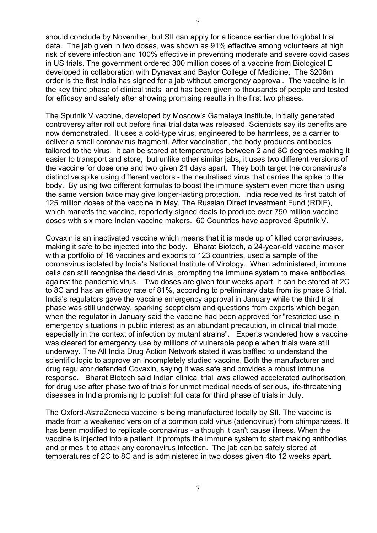should conclude by November, but SII can apply for a licence earlier due to global trial data. The jab given in two doses, was shown as 91% effective among volunteers at high risk of severe infection and 100% effective in preventing moderate and severe covid cases in US trials. The government ordered 300 million doses of a vaccine from Biological E developed in collaboration with Dynavax and Baylor College of Medicine. The \$206m order is the first India has signed for a jab without emergency approval. The vaccine is in the key third phase of clinical trials and has been given to thousands of people and tested for efficacy and safety after showing promising results in the first two phases.

The Sputnik V vaccine, developed by Moscow's Gamaleya Institute, initially generated controversy after roll out before final trial data was released. Scientists say its benefits are now demonstrated. It uses a cold-type virus, engineered to be harmless, as a carrier to deliver a small coronavirus fragment. After vaccination, the body produces antibodies tailored to the virus. It can be stored at temperatures between 2 and 8C degrees making it easier to transport and store, but unlike other similar jabs, it uses two different versions of the vaccine for dose one and two given 21 days apart. They both target the coronavirus's distinctive spike using different vectors - the neutralised virus that carries the spike to the body. By using two different formulas to boost the immune system even more than using the same version twice may give longer-lasting protection. India received its first batch of 125 million doses of the vaccine in May. The Russian Direct Investment Fund (RDIF), which markets the vaccine, reportedly signed deals to produce over 750 million vaccine doses with six more Indian vaccine makers. 60 Countries have approved Sputnik V.

Covaxin is an inactivated vaccine which means that it is made up of killed coronaviruses, making it safe to be injected into the body. Bharat Biotech, a 24-year-old vaccine maker with a portfolio of 16 vaccines and exports to 123 countries, used a sample of the coronavirus isolated by India's National Institute of Virology. When administered, immune cells can still recognise the dead virus, prompting the immune system to make antibodies against the pandemic virus. Two doses are given four weeks apart. It can be stored at 2C to 8C and has an efficacy rate of 81%, according to preliminary data from its phase 3 trial. India's regulators gave the vaccine emergency approval in January while the third trial phase was still underway, sparking scepticism and questions from experts which began when the regulator in January said the vaccine had been approved for "restricted use in emergency situations in public interest as an abundant precaution, in clinical trial mode, especially in the context of infection by mutant strains". Experts wondered how a vaccine was cleared for emergency use by millions of vulnerable people when trials were still underway. The All India Drug Action Network stated it was baffled to understand the scientific logic to approve an incompletely studied vaccine. Both the manufacturer and drug regulator defended Covaxin, saying it was safe and provides a robust immune response. Bharat Biotech said Indian clinical trial laws allowed accelerated authorisation for drug use after phase two of trials for unmet medical needs of serious, life-threatening diseases in India promising to publish full data for third phase of trials in July.

The Oxford-AstraZeneca vaccine is being manufactured locally by SII. The vaccine is made from a weakened version of a common cold virus (adenovirus) from chimpanzees. It has been modified to replicate coronavirus - although it can't cause illness. When the vaccine is injected into a patient, it prompts the immune system to start making antibodies and primes it to attack any coronavirus infection. The jab can be safely stored at temperatures of 2C to 8C and is administered in two doses given 4to 12 weeks apart.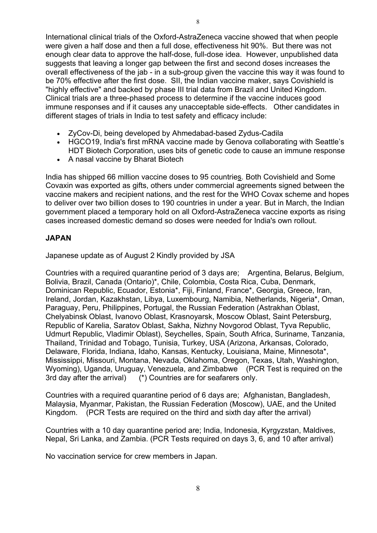International clinical trials of the Oxford-AstraZeneca vaccine showed that when people were given a half dose and then a full dose, effectiveness hit 90%. But there was not enough clear data to approve the half-dose, full-dose idea. However, unpublished data suggests that leaving a longer gap between the first and second doses increases the overall effectiveness of the jab - in a sub-group given the vaccine this way it was found to be 70% effective after the first dose. SII, the Indian vaccine maker, says Covishield is "highly effective" and backed by phase III trial data from Brazil and United Kingdom. Clinical trials are a three-phased process to determine if the vaccine induces good immune responses and if it causes any unacceptable side-effects. Other candidates in different stages of trials in India to test safety and efficacy include:

- ZyCov-Di, being developed by Ahmedabad-based Zydus-Cadila
- HGCO19, India's first mRNA vaccine made by Genova collaborating with Seattle's HDT Biotech Corporation, uses bits of genetic code to cause an immune response
- A nasal vaccine by Bharat Biotech

India has shipped [66 million vaccine doses to 95 countries.](https://www.mea.gov.in/vaccine-supply.htm) Both Covishield and Some Covaxin was exported as gifts, others under commercial agreements signed between the vaccine makers and recipient nations, and the rest for the WHO Covax scheme and hopes to deliver over two billion doses to 190 countries in under a year. But in March, the Indian government placed a temporary hold on all Oxford-AstraZeneca vaccine exports as rising cases increased domestic demand so doses were needed for India's own rollout.

# **JAPAN**

Japanese update as of August 2 Kindly provided by JSA

Countries with a required quarantine period of 3 days are; Argentina, Belarus, Belgium, Bolivia, Brazil, Canada (Ontario)\*, Chile, Colombia, Costa Rica, Cuba, Denmark, Dominican Republic, Ecuador, Estonia\*, Fiji, Finland, France\*, Georgia, Greece, Iran, Ireland, Jordan, Kazakhstan, Libya, Luxembourg, Namibia, Netherlands, Nigeria\*, Oman, Paraguay, Peru, Philippines, Portugal, the Russian Federation (Astrakhan Oblast, Chelyabinsk Oblast, Ivanovo Oblast, Krasnoyarsk, Moscow Oblast, Saint Petersburg, Republic of Karelia, Saratov Oblast, Sakha, Nizhny Novgorod Oblast, Tyva Republic, Udmurt Republic, Vladimir Oblast), Seychelles, Spain, South Africa, Suriname, Tanzania, Thailand, Trinidad and Tobago, Tunisia, Turkey, USA (Arizona, Arkansas, Colorado, Delaware, Florida, Indiana, Idaho, Kansas, Kentucky, Louisiana, Maine, Minnesota\*, Mississippi, Missouri, Montana, Nevada, Oklahoma, Oregon, Texas, Utah, Washington, Wyoming), Uganda, Uruguay, Venezuela, and Zimbabwe (PCR Test is required on the 3rd day after the arrival) (\*) Countries are for seafarers only.

Countries with a required quarantine period of 6 days are; Afghanistan, Bangladesh, Malaysia, Myanmar, Pakistan, the Russian Federation (Moscow), UAE, and the United Kingdom. (PCR Tests are required on the third and sixth day after the arrival)

Countries with a 10 day quarantine period are; India, Indonesia, Kyrgyzstan, Maldives, Nepal, Sri Lanka, and Zambia. (PCR Tests required on days 3, 6, and 10 after arrival)

No vaccination service for crew members in Japan.